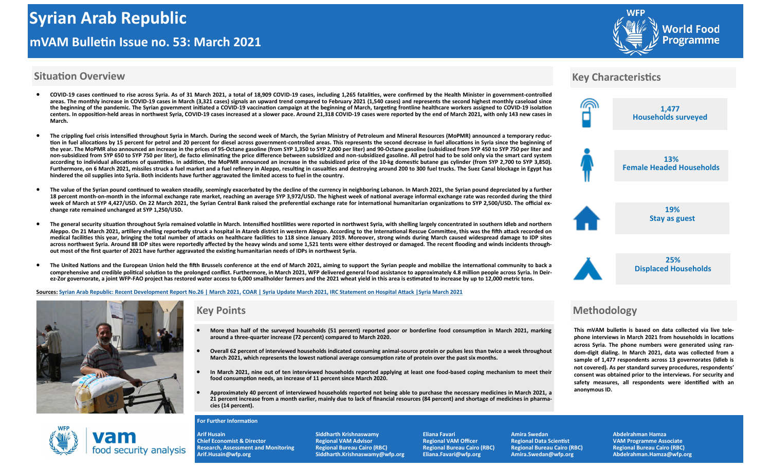# **Syrian Arab Republic mVAM Bulletin Issue no. 53: March 2021**



#### **Situation Overview**

- COVID-19 cases continued to rise across Syria. As of 31 March 2021, a total of 18,909 COVID-19 cases, including 1,265 fatalities, were confirmed by the Health Minister in government-controlled **areas. The monthly increase in COVID-19 cases in March (3,321 cases) signals an upward trend compared to February 2021 (1,540 cases) and represents the second highest monthly caseload since**  the beginning of the pandemic. The Syrian government initiated a COVID-19 vaccination campaign at the beginning of March, targeting frontline healthcare workers assigned to COVID-19 isolation centers. In opposition-held areas in northwest Syria, COVID-19 cases increased at a slower pace. Around 21,318 COVID-19 cases were reported by the end of March 2021, with only 143 new cases in **March.**
- The crippling fuel crisis intensified throughout Syria in March. During the second week of March, the Syrian Ministry of Petroleum and Mineral Resources (MoPMR) announced a temporary reduc**tion in fuel allocations by 15 percent for petrol and 20 percent for diesel across government-controlled areas. This represents the second decrease in fuel allocations in Syria since the beginning of**  the year. The MoPMR also announced an increase in the prices of 95-Octane gasoline (from SYP 1,350 to SYP 2,000 per liter) and 90-Octane gasoline (subsidized from SYP 450 to SYP 750 per liter and non-subsidized from SYP 650 to SYP 750 per liter), de facto eliminating the price difference between subsidized and non-subsidized gasoline. All petrol had to be sold only via the smart card system **according to individual allocations of quantities. In addition, the MoPMR announced an increase in the subsidized price of the 10-eg domestic butane gas cylinder (from SYP 2,700 to SYP 3,850).**  Furthermore, on 6 March 2021, missiles struck a fuel market and a fuel refinery in Aleppo, resulting in casualties and destroying around 200 to 300 fuel trucks. The Suez Canal blockage in Egypt has **hindered the oil supplies into Syria. Both incidents have further aggravated the limited access to fuel in the country.**
- **•** The value of the Syrian pound continued to weaken steadily, seemingly exacerbated by the decline of the currency in neighboring Lebanon. In March 2021, the Syrian pound depreciated by a further 18 percent month-on-month in the informal exchange rate market, reaching an average SYP 3,972/USD. The highest week of national average informal exchange rate was recorded during the third week of March at SYP 4,427/USD. On 22 March 2021, the Syrian Central Bank raised the preferential exchange rate for international humanitarian organizations to SYP 2,500/USD. The official ex**change rate remained unchanged at SYP 1,250/USD.**
- **The general security situation throughout Syria remained volatile in March. Intensified hostilities were reported in northwest Syria, with shelling largely concentrated in southern Idleb and northern Aleppo. On 21 March 2021, artillery shelling reportedly struce a hospital in Atareb district in western Aleppo. According to the International Rescue Committee, this was the fifth attace recorded on medical facilities this year, bringing the total number of attaces on healthcare facilities to 118 since January 2019. Moreover, strong winds during March caused widespread damage to IDP sites across northwest Syria. Around 88 IDP sites were reportedly affected by the heavy winds and some 1,521 tents were either destroyed or damaged. The recent flooding and winds incidents throughout most of the first quarter of 2021 have further aggravated the existing humanitarian needs of IDPs in northwest Syria.**
- **The United Nations and the European Union held the fifth Brussels conference at the end of March 2021, aiming to support the Syrian people and mobilize the international community to bace a comprehensive and credible political solution to the prolonged conflict. Furthermore, in March 2021, WFP delivered general food assistance to approximately 4.8 million people across Syria. In Deir**ez-Zor governorate, a joint WFP-FAO project has restored water access to 6.000 smallholder farmers and the 2021 wheat vield in this area is estimated to increase by up to 12.000 metric tons.

#### **Sources: [Syrian Arab Republic: Recent Development Report No.26 | March 2021,](https://reliefweb.int/sites/reliefweb.int/files/resources/20210326_sitrep_26_final.pdf) [COAR | Syria Update March 2021,](https://coar-global.org/10-years-on-adrift-the-syrian-aid-response-awaits-a-paradigm-shift/) [IRC Statement on Hospital Attace |Syria March 2021](https://www.rescue.org/press-release/syria-irc-statement-hospital-attack-western-aleppo)**



food security analysis

## **Key Points**

- **More than half of the surveyed households (51 percent) reported poor or borderline food consumption in March 2021, mareing around a three-quarter increase (72 percent) compared to March 2020.**
- **Overall 62 percent of interviewed households indicated consuming animal-source protein or pulses less than twice a weee throughout March 2021, which represents the lowest national average consumption rate of protein over the past six months.**
- **In March 2021, nine out of ten interviewed households reported applying at least one food-based coping mechanism to meet their food consumption needs, an increase of 11 percent since March 2020.**
- **Approximately 40 percent of interviewed households reported not being able to purchase the necessary medicines in March 2021, a**  21 percent increase from a month earlier, mainly due to lack of financial resources (84 percent) and shortage of medicines in pharma**cies (14 percent).**

#### **For Further Information**

**Arif Husain Siddharth Krishnaswamy Eliana Favari Amira Swedan Abdelrahman Hamza**  Chief Economist & Director **Regional VAM Advisor** Regional VAM Officer **Regional Data Scientist** VAM Programme Associate<br>Research, Assessment and Monitoring Regional Bureau Cairo (RBC) Regional Bureau Cairo (RBC) Regional **Research, Assessment and Monitoring Research, Assessment and Monitoring Arif.Husain@wfp.org Siddharth.Krishnaswamy@wfp.org Eliana.Favari@wfp.org Amira.Swedan@wfp.org Abdelrahman.Hamza@wfp.org** 

### **Key Characteristics**



## **Methodology**

**This mVAM bulletin is based on data collected via live telephone interviews in March 2021 from households in locations across Syria. The phone numbers were generated using random-digit dialing. In March 2021, data was collected from a sample of 1,477 respondents across 13 governorates (Idleb is not covered). As per standard survey procedures, respondents' consent was obtained prior to the interviews. For security and safety measures, all respondents were identified with an anonymous ID.**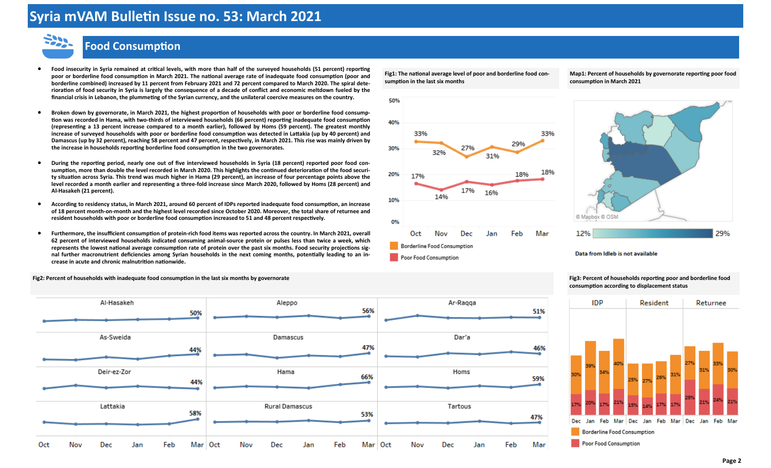# **Syria mVAM Bulletin Issue no. 53: March 2021**



## **Food Consumption**

- **Food insecurity in Syria remained at critical levels, with more than half of the surveyed households (51 percent) reporting poor or borderline food consumption in March 2021. The national average rate of inadequate food consumption (poor and borderline combined) increased by 11 percent from February 2021 and 72 percent compared to March 2020. The spiral deterioration of food security in Syria is largely the consequence of a decade of conflict and economic meltdown fueled by the financial crisis in Lebanon, the plummeting of the Syrian currency, and the unilateral coercive measures on the country.**
- **•** Broken down by governorate, in March 2021, the highest proportion of households with poor or borderline food consump**tion was recorded in Hama, with two-thirds of interviewed households (66 percent) reporting inadequate food consumption (representing a 13 percent increase compared to a month earlier), followed by Homs (59 percent). The greatest monthly**  increase of surveyed households with poor or borderline food consumption was detected in Lattakia (up by 40 percent) and **Damascus (up by 32 percent), reaching 58 percent and 47 percent, respectively, in March 2021. This rise was mainly driven by the increase in households reporting borderline food consumption in the two governorates.**
- **During the reporting period, nearly one out of five interviewed households in Syria (18 percent) reported poor food consumption, more than double the level recorded in March 2020. This highlights the continued deterioration of the food security situation across Syria. This trend was much higher in Hama (29 percent), an increase of four percentage points above the level recorded a month earlier and representing a three-fold increase since March 2020, followed by Homs (28 percent) and Al-Hasaeeh (21 percent).**
- **According to residency status, in March 2021, around 60 percent of IDPs reported inadequate food consumption, an increase of 18 percent month-on-month and the highest level recorded since October 2020. Moreover, the total share of returnee and resident households with poor or borderline food consumption increased to 51 and 48 percent respectively.**
- **Furthermore, the insufficient consumption of protein-rich food items was reported across the country. In March 2021, overall 62 percent of interviewed households indicated consuming animal-source protein or pulses less than twice a weee, which represents the lowest national average consumption rate of protein over the past six months. Food security projections signal further macronutrient deficiencies among Syrian households in the next coming months, potentially leading to an increase in acute and chronic malnutrition nationwide.**

Fig2: Percent of households with inadequate food consumption in the last six months by governorate **Fig3: Percent of households reporting poor and borderline food** 



**Fig1: The national average level of poor and borderline food consumption in the last six months** 







Data from Idleb is not available

**consumption according to displacement status** 

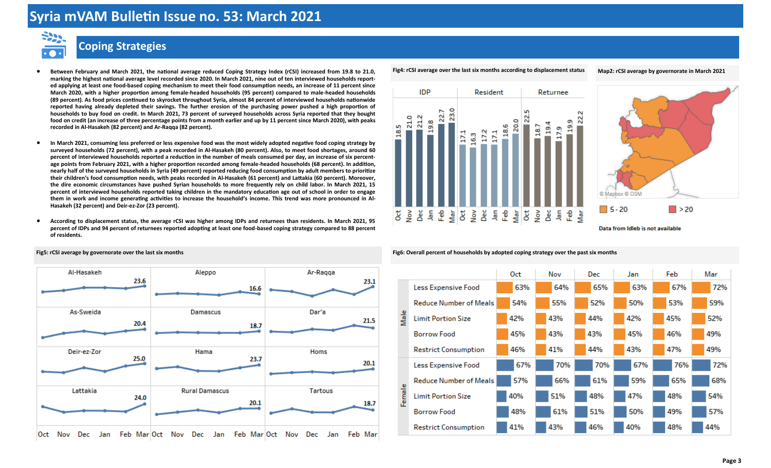# **Syria mVAM Bulletin Issue no. 53: March 2021**



## **Coping Strategies**

- **Between February and March 2021, the national average reduced Coping Strategy Index (rCSI) increased from 19.8 to 21.0, mareing the highest national average level recorded since 2020. In March 2021, nine out of ten interviewed households reported applying at least one food-based coping mechanism to meet their food consumption needs, an increase of 11 percent since March 2020, with a higher proportion among female-headed households (95 percent) compared to male-headed households (89 percent). As food prices continued to seyroceet throughout Syria, almost 84 percent of interviewed households nationwide reported having already depleted their savings. The further erosion of the purchasing power pushed a high proportion of households to buy food on credit. In March 2021, 73 percent of surveyed households across Syria reported that they bought**  food on credit (an increase of three percentage points from a month earlier and up by 11 percent since March 2020), with peaks **recorded in Al-Hasaeeh (82 percent) and Ar-Raqqa (82 percent).**
- **In March 2021, consuming less preferred or less expensive food was the most widely adopted negative food coping strategy by surveyed households (72 percent), with a peae recorded in Al-Hasaeeh (80 percent). Also, to meet food shortages, around 60 percent of interviewed households reported a reduction in the number of meals consumed per day, an increase of six percentage points from February 2021, with a higher proportion recorded among female-headed households (68 percent). In addition, nearly half of the surveyed households in Syria (49 percent) reported reducing food consumption by adult members to prioritize their children's food consumption needs, with peaes recorded in Al-Hasaeeh (61 percent) and Lattaeia (60 percent). Moreover, the dire economic circumstances have pushed Syrian households to more frequently rely on child labor. In March 2021, 15 percent of interviewed households reported taeing children in the mandatory education age out of school in order to engage them in wore and income generating activities to increase the household's income. This trend was more pronounced in Al-Hasaeeh (32 percent) and Deir-ez-Zor (23 percent).**
- **According to displacement status, the average rCSI was higher among IDPs and returnees than residents. In March 2021, 95 percent of IDPs and 94 percent of returnees reported adopting at least one food-based coping strategy compared to 88 percent of residents.**



**Fig4: rCSI average over the last six months according to displacement status Map2: rCSI average by governorate in March 2021** 





Fig5: rCSI average by governorate over the last six months **Fighter and a strategy of the past six months** Fig6: Overall percent of households by adopted coping strategy over the past six months

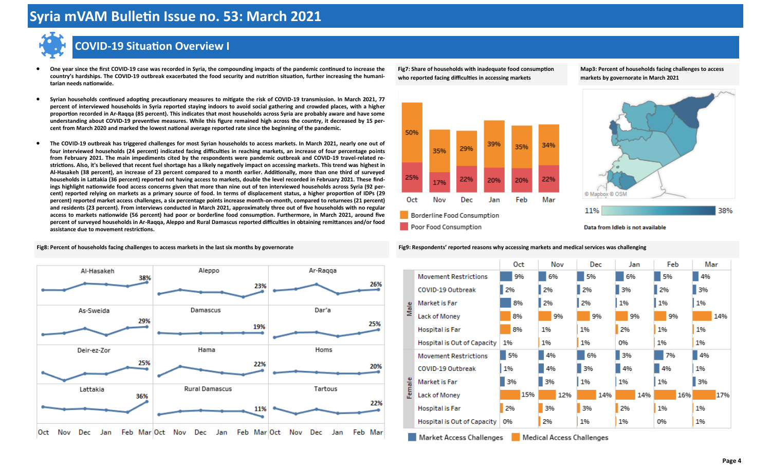

## **COVID-19 Situation Overview I**

- **One year since the first COVID-19 case was recorded in Syria, the compounding impacts of the pandemic continued to increase the**  country's hardships. The COVID-19 outbreak exacerbated the food security and nutrition situation, further increasing the humani**tarian needs nationwide.**
- **Syrian households continued adopting precautionary measures to mitigate the rise of COVID-19 transmission. In March 2021, 77 percent of interviewed households in Syria reported staying indoors to avoid social gathering and crowded places, with a higher proportion recorded in Ar-Raqqa (85 percent). This indicates that most households across Syria are probably aware and have some understanding about COVID-19 preventive measures. While this figure remained high across the country, it decreased by 15 percent from March 2020 and mareed the lowest national average reported rate since the beginning of the pandemic.**
- The COVID-19 outbreak has triggered challenges for most Syrian households to access markets. In March 2021, nearly one out of four interviewed households (24 percent) indicated facing difficulties in reaching markets, an increase of four percentage points **from February 2021. The main impediments cited by the respondents were pandemic outbreae and COVID-19 travel-related restrictions. Also, it's believed that recent fuel shortage has a lieely negatively impact on accessing mareets. This trend was highest in Al-Hasaeeh (38 percent), an increase of 23 percent compared to a month earlier. Additionally, more than one third of surveyed**  households in Lattakia (36 percent) reported not having access to markets, double the level recorded in February 2021. These find**ings highlight nationwide food access concerns given that more than nine out of ten interviewed households across Syria (92 percent) reported relying on mareets as a primary source of food. In terms of displacement status, a higher proportion of IDPs (29 percent) reported mareet access challenges, a six percentage points increase month-on-month, compared to returnees (21 percent) and residents (23 percent). From interviews conducted in March 2021, approximately three out of five households with no regular**  access to markets nationwide (56 percent) had poor or borderline food consumption. Furthermore, in March 2021, around five **percent of surveyed households in Ar-Raqqa, Aleppo and Rural Damascus reported difficulties in obtaining remittances and/or food assistance due to movement restrictions.**

**Fig7: Share of households with inadequate food consumption**  who reported facing difficulties in accessing markets

**Map3: Percent of households facing challenges to access**  markets by governorate in March 2021





Data from Idleb is not available



Fig8: Percent of households facing challenges to access markets in the last six months by governorate **Fig9: Respondents Fig9: Respondents Fig9: Respondents reported reasons why accessing markets and medical services** 



Market Access Challenges Medical Access Challenges